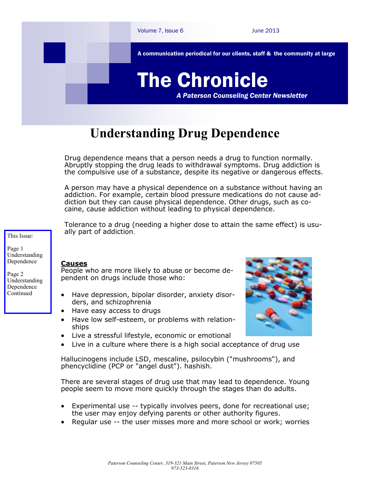

## **Understanding Drug Dependence**

Drug dependence means that a person needs a drug to function normally. Abruptly stopping the drug leads to withdrawal symptoms. Drug addiction is the compulsive use of a substance, despite its negative or dangerous effects.

A person may have a physical dependence on a substance without having an addiction. For example, certain blood pressure medications do not cause addiction but they can cause physical dependence. Other drugs, such as cocaine, cause addiction without leading to physical dependence.

Tolerance to a drug (needing a higher dose to attain the same effect) is usually part of addiction.

This Issue:

Page 1 Understanding Dependence

Page 2 Understanding Dependence Continued

## **Causes**

People who are more likely to abuse or become dependent on drugs include those who:

- Have depression, bipolar disorder, anxiety disorders, and schizophrenia
- Have easy access to drugs
- Have low self-esteem, or problems with relationships
- Live a stressful lifestyle, economic or emotional
- Live in a culture where there is a high social acceptance of drug use

Hallucinogens include LSD, mescaline, psilocybin ("mushrooms"), and phencyclidine (PCP or "angel dust"). hashish.

There are several stages of drug use that may lead to dependence. Young people seem to move more quickly through the stages than do adults.

- Experimental use -- typically involves peers, done for recreational use; the user may enjoy defying parents or other authority figures.
- Regular use -- the user misses more and more school or work; worries